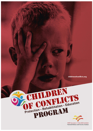childrenofconflicts.org



Millî Savunma ve Güvenlik Enstitüsü National Defence and Security Institute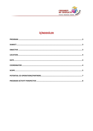

# **İÇİNDEKİLER**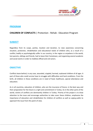

# <span id="page-2-0"></span>**[PROGRAM](#page-2-0)**

# **CHILDREN OF CONFLICTS** | Protection - Rehab - Education Program

## <span id="page-2-1"></span>**SUBJECT**

Regardless from its scope, parties, location and duration, to raise awareness concerning situation, protection, rehabilitation and educational needs of children who, as a result of a conflict, bodily or psychologically suffer in our country, in the region or anywhere in the world, lost parents, siblings and friends, had to leave their hometown, and organizing several academic and social events in order to mobilize official and civil actors.

# <span id="page-2-2"></span>**OBJECTIVE**

Conflicts leave behind, in any case, wounded, crippled, harmed, orphaned children of all ages. A part of those who could survive have to struggle with difficulties and hard conditions. From the birth, all children in these conditions are in need of food, healthcare, special attendance and education.

As in all countries, education of children, who are the insurance of future, in the best way and their preparation for the future is a right and commitment in Turkey. As in the other parts of the world, victims of conflicts are dominantly children in Turkey. Priority of the project is to draw attention to the issue and encourage authorities to take cover these children, emphasize the importance of education and rehabilitation for children of conflicts as well as urging public to approach the issue from this point of view.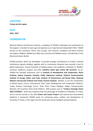

## <span id="page-3-0"></span>**LOCATION**

**Turkey and the region**

#### <span id="page-3-1"></span>**DATE**

**2016 - 2017**

# <span id="page-3-2"></span>**COORDINATOR**

National Defense and Security Institute, a subsidiary of TASAM, undertakes the coordination of the program. Founded 12 years ago and operates as an impartial and independent NGO, TASAM focuses on the continents "Africa, Asia, Europe, Latin America- Caribbean and North America and regions "Balkans, Middle East, Black Sea, Caucasia and Mediterranean, and identities Turkic World and Islamic World.

TASAM activities, which are developed to provide strategic contributions to Turkey's national institutional capacity building, together with its institutional networks have reached a level of global importance. Around hundreds of leading experts and academics contribute to TASAM's institutes, platforms, projects and other **activities which span nearly 100 countries.** So far, TASAM has founded institutions such as **Institute of Development and Cooperation, Africa Institute, Islamic Countries Institute, Public Diplomacy Institute, Political Communication Institute of Energy, Water and Food, Institute of Environment and Brand Cities, National Defense and Security Institute and Turkey Tourism Institute.** Besides, it runs the coordination of World Islamic Forum, International Think Tanks Development and Cooperation Platform, Turkey Nuclear Technology Forum, Think Tanks Turkey Dialogue, Balkan Communication Network, OIC Countries Think Tanks Platform. With projects such as **"Turkey's Strategic Vision 2023** (**TSV2023**)", which was initiated under the patronage of Presidency of Republic of Turkey, and its current version in the 2053 **Power and Justice Project** and national and international platforms it pioneered TASAM works for enhancing peace, welfare and development of humanity in Turkey, in the region and the world with utmost feedback and participation.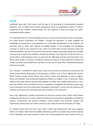

## <span id="page-4-0"></span>**SCOPE**

Individuals keep their child status until the age of 18 according to internationally accepted definition. The 2.2 billion of the world's population, which has expanded to about 7.4 billion, composed of the children. Unfortunately, the vast majority of them are living now underdeveloped/conflict regions.

It's undeniable that the most developed countries, to ensure the continuity of their own growth, has made certain investments for children. Through the education, to make available the knowledge and experience, as prerequisites for sustainable development, to the children, the countries seek to attain their regional and global targets. In the emerging and developing countries as well as the countries-at-risk, which are faced with security, financial, social and political problems, not only the countries but also their regions eventually change into troubled areas because of both these problems and their persistency. The majority of these countries are not be able to make long-term plans to overcome the difficulties but they only have short-term plans, which makes no mention of children's policies as frequent as they should be. Poverty and conflict are often concomitant facts and there is some sort of cause-effect relationship between these two concepts.

The « disaster » conditions in other areas, where the countries are defined as countries-at-risk by the United Nation, depending on the perpetual conflicts, such as Syria, Afghanistan, Somali, North Soudan, Congo, Central Africa, Iraq, Eritrea, Yemen and Myanmar as well as Nigeria, Kenya and Ethiopia, have profoundly deleterious effects on children's lives in particular. Many children have died, become permanently disabled, not been kept medical observation or care, been left orphans, been recruited by army or companies, immigrated, left homeless, had to give up the education since the schools were damaged or destroyed. It's clear that this situation will continue in the short-term and lead some other problems in the long-term.

Syria, Iraq, Afghanistan, Soudan and Somali not only the countries that Turkey mainly allows immigrants but they are in a closer sphere of influence of Turkey due to geographic and political reasons. Furthermore, the previous problems, which conflict area countries' children had experienced, follow them out of their countries, even within the territorial borders of Turkey.

It's already known that the terror acts, which Turkey had experienced, had some negative effects on children. Given that the children affected by conflicts are adults now and the majority of the individuals, who had involved in terror acts or felt sympathy for these kinds of acts, are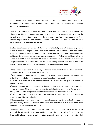

composed of them, it can be concluded that there is a system amplifying the conflict's effects. It's a question of mental threshold what today's children may potentially change into during next one or two decades.

There is a consensus on children of conflicts area must be protected, rehabilitated and educated. Specifically education, as the most powerful weapon, as an opportunity to change the world, is of great importance not only for the countries devastated by wars but also for Tukey affected negatively by regional conflicts. This should be one of the essential focal points of ongoing educational programs and policies.

Conflict, lack of education and poverty turn into some kind of persistent vicious circle, when it comes to bedeviled, neglected and uneducated children. We've observed that the attacks against educational institutions have gradually increased in some countries such as Nigeria, Syria and Kenya. Terrorist acts started to paralyze the education in Turkey too and in certain cities and counties children have not been able to go to school as a result of these kinds of activities. This problem may lead to social instability even if it currently concerns only a small part of the society. Possible reasons for all of these educational problems are as follows:

1<sup>st</sup> The schools in the conflict zones may be harmed or devastated and the teachers may be killed or forced to join the war or to leave the zone.

2<sup>nd</sup> Diseases may prevent to attend the classes (Some diseases, which can easily be treated, such as diarrhea and malaria may spread due to lack of basic health services.)

3<sup>rd</sup> Children may be forced to leave their home and already be in the immigration camps where there is no school at all.

4<sup>th</sup> Conflict possibly caused to separate the family member from each other or a loss to their sources of income. (Children may have to work instead of going to school or to stay at home for looking after the little by age or sick relatives so the others can make some money.)

5<sup>th</sup> School and birth certificates are often disappeared or destroyed and this prevents the children to enroll in other schools.

6<sup>th</sup> Some societies doesn't much care about formal education -particularly about education of girls. This mostly happens in conflict zones where the short-term basic survival needs more important than the investment for future.

The level of fidelity for social sensibility and belief to find solutions as well as the efforts will negatively be affected, if the current conflicts and the violation of children's rights based on these conflicts have become normal. Education is essential for children in order to sustain their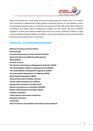

rights of life, protection and housing, and to have opportunities for a better future. It's obvious that if education is neglected then huge problems eventually come up. It's not possible to access the educational opportunities in a universal scale unless we really make some efforts about the schooling of the children who are affected by conflicts. For this reason, the acts of violence targeted to schools and students needed to be seen as war crimes. Violation of children's rights must be finished and taken Children of Conflicts under more protection and care of educational institutions that prepare them for the future.

# <span id="page-6-0"></span>**POTENTIAL CO-OPERATIONS/PARTNERS**

**Ministry of Family and Social Policies Governorships Provincial Directorate of Family and Social Policies Directorate General of Migration Management Municipalities The Red Crescent The Disaster and Emergency Management Authority (AFAD) The United Nations Children's Emergency Fund (UNICEF) The United Nations Development Programme (UNDP) The International Organization for Migration (IOM) World Health Organization (WHO) General Directorate of Children Services Private-Public Dormitories for Children Darüşşafaka Foundation and High School Women and Democracy Association (KADEM) Mother Child Education Foundation (AÇEV) Children Foundation Turkey Women Associations Federation Education Volunteers Universities Social Assistance and Solidarity Associations and Foundations**